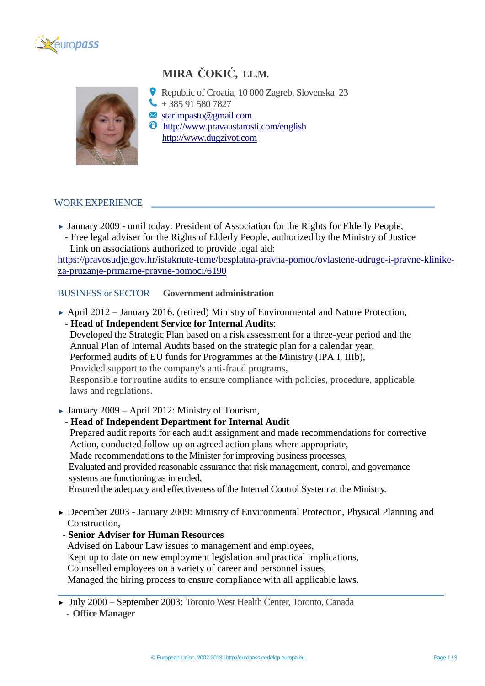

# **MIRA ČOKIĆ, LL.M.**



- Republic of Croatia, 10 000 Zagreb, Slovenska 23  $\big\{\big\}$  + 385 91 580 7827
- $\blacktriangleright$  starimpasto@gmail.com
- $\bullet$  <http://www.pravaustarosti.com/english> [http://www.dugzivot.com](http://www.dugzivot.com/)

## WORK EXPERIENCE **\_\_\_\_\_\_\_\_\_\_\_\_\_\_\_\_\_\_\_\_\_\_\_\_\_\_\_\_\_\_\_\_\_\_\_\_\_\_\_\_\_\_\_\_\_\_\_\_\_\_\_\_\_\_\_\_\_\_\_\_\_**

- ► January 2009 until today: President of Association for the Rights for Elderly People, - Free legal adviser for the Rights of Elderly People, authorized by the Ministry of Justice
- Link on associations authorized to provide legal aid:

[https://pravosudje.gov.hr/istaknute-teme/besplatna-pravna-pomoc/ovlastene-udruge-i-pravne-klinike](https://pravosudje.gov.hr/istaknute-teme/besplatna-pravna-pomoc/ovlastene-udruge-i-pravne-klinike-za-pruzanje-primarne-pravne-pomoci/6190)[za-pruzanje-primarne-pravne-pomoci/6190](https://pravosudje.gov.hr/istaknute-teme/besplatna-pravna-pomoc/ovlastene-udruge-i-pravne-klinike-za-pruzanje-primarne-pravne-pomoci/6190)

# BUSINESS or SECTOR **Government administration**

- ► April 2012 January 2016. (retired) Ministry of Environmental and Nature Protection, - **Head of Independent Service for Internal Audits**: Developed the Strategic Plan based on a risk assessment for a three-year period and the Annual Plan of Internal Audits based on the strategic plan for a calendar year, Performed audits of EU funds for Programmes at the Ministry (IPA I, IIIb), Provided support to the company's anti-fraud programs, Responsible for routine audits to ensure compliance with policies, procedure, applicable laws and regulations.
- $\blacktriangleright$  January 2009 April 2012: Ministry of Tourism,

### - **Head of Independent Department for Internal Audit**

 Prepared audit reports for each audit assignment and made recommendations for corrective Action, conducted follow-up on agreed action plans where appropriate,

Made recommendations to the Minister for improving business processes,

 Evaluated and provided reasonable assurance that risk management, control, and governance systems are functioning as intended,

Ensured the adequacy and effectiveness of the Internal Control System at the Ministry.

► December 2003 - January 2009: Ministry of Environmental Protection, Physical Planning and Construction,

**\_\_\_\_\_\_\_\_\_\_\_\_\_\_\_\_\_\_\_\_\_\_\_\_\_\_\_\_\_\_\_\_\_\_\_\_\_\_\_\_\_\_\_\_\_\_\_\_\_\_\_\_\_\_\_\_\_\_\_\_\_\_\_\_\_\_\_\_\_\_\_\_\_\_\_\_\_\_\_**

- **Senior Adviser for Human Resources**

 Advised on Labour Law issues to management and employees, Kept up to date on new employment legislation and practical implications, Counselled employees on a variety of career and personnel issues, Managed the hiring process to ensure compliance with all applicable laws.

<sup>►</sup> July 2000 – September 2003: Toronto West Health Center, Toronto, Canada

 <sup>-</sup> **Office Manager**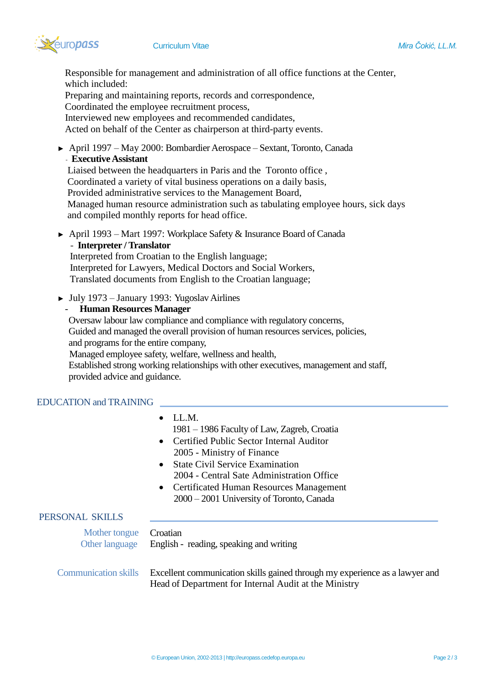

 Responsible for management and administration of all office functions at the Center, which included:

 Preparing and maintaining reports, records and correspondence, Coordinated the employee recruitment process,

Interviewed new employees and recommended candidates,

Acted on behalf of the Center as chairperson at third-party events.

► April 1997 – May 2000: Bombardier Aerospace – Sextant, Toronto, Canada

# - **Executive Assistant**

 Liaised between the headquarters in Paris and the Toronto office , Coordinated a variety of vital business operations on a daily basis, Provided administrative services to the Management Board, Managed human resource administration such as tabulating employee hours, sick days and compiled monthly reports for head office.

► April 1993 – Mart 1997: Workplace Safety & Insurance Board of Canada

### **- Interpreter / Translator**

 Interpreted from Croatian to the English language; Interpreted for Lawyers, Medical Doctors and Social Workers, Translated documents from English to the Croatian language;

► July 1973 – January 1993: Yugoslav Airlines

## - **Human Resources Manager**

 Oversaw labour law compliance and compliance with regulatory concerns, Guided and managed the overall provision of human resources services, policies, and programs for the entire company, Managed employee safety, welfare, wellness and health, Established strong working relationships with other executives, management and staff, provided advice and guidance.

### EDUCATION and TRAINING

|                                                    | $\bullet$ LL.M.<br>1981 – 1986 Faculty of Law, Zagreb, Croatia<br>• Certified Public Sector Internal Auditor<br>2005 - Ministry of Finance<br>• State Civil Service Examination<br>2004 - Central Sate Administration Office<br>• Certificated Human Resources Management<br>2000 – 2001 University of Toronto, Canada |
|----------------------------------------------------|------------------------------------------------------------------------------------------------------------------------------------------------------------------------------------------------------------------------------------------------------------------------------------------------------------------------|
| PERSONAL SKILLS<br>Mother tongue<br>Other language | Croatian<br>English - reading, speaking and writing                                                                                                                                                                                                                                                                    |
| <b>Communication skills</b>                        | Excellent communication skills gained through my experience as a lawyer and<br>Head of Department for Internal Audit at the Ministry                                                                                                                                                                                   |